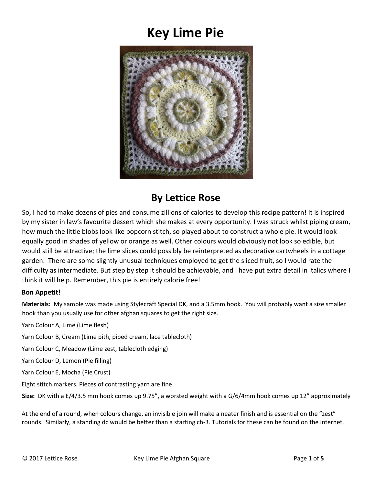# **Key Lime Pie**



## **By Lettice Rose**

So, I had to make dozens of pies and consume zillions of calories to develop this recipe pattern! It is inspired by my sister in law's favourite dessert which she makes at every opportunity. I was struck whilst piping cream, how much the little blobs look like popcorn stitch, so played about to construct a whole pie. It would look equally good in shades of yellow or orange as well. Other colours would obviously not look so edible, but would still be attractive; the lime slices could possibly be reinterpreted as decorative cartwheels in a cottage garden. There are some slightly unusual techniques employed to get the sliced fruit, so I would rate the difficulty as intermediate. But step by step it should be achievable, and I have put extra detail in italics where I think it will help. Remember, this pie is entirely calorie free!

### **Bon Appetit!**

**Materials:** My sample was made using Stylecraft Special DK, and a 3.5mm hook. You will probably want a size smaller hook than you usually use for other afghan squares to get the right size.

Yarn Colour A, Lime (Lime flesh)

Yarn Colour B, Cream (Lime pith, piped cream, lace tablecloth)

Yarn Colour C, Meadow (Lime zest, tablecloth edging)

Yarn Colour D, Lemon (Pie filling)

Yarn Colour E, Mocha (Pie Crust)

Eight stitch markers. Pieces of contrasting yarn are fine.

**Size:** DK with a E/4/3.5 mm hook comes up 9.75", a worsted weight with a G/6/4mm hook comes up 12" approximately

At the end of a round, when colours change, an invisible join will make a neater finish and is essential on the "zest" rounds. Similarly, a standing dc would be better than a starting ch-3. Tutorials for these can be found on the internet.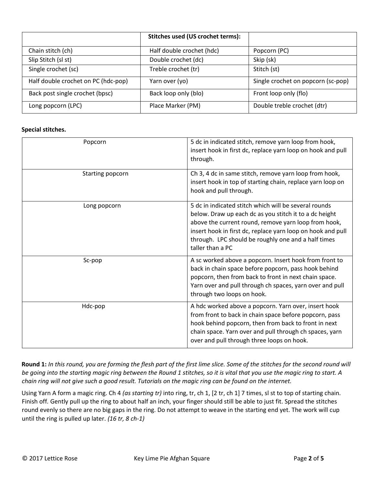|                                     | Stitches used (US crochet terms): |                                    |
|-------------------------------------|-----------------------------------|------------------------------------|
| Chain stitch (ch)                   | Half double crochet (hdc)         | Popcorn (PC)                       |
| Slip Stitch (sl st)                 | Double crochet (dc)               | Skip (sk)                          |
| Single crochet (sc)                 | Treble crochet (tr)               | Stitch (st)                        |
| Half double crochet on PC (hdc-pop) | Yarn over (yo)                    | Single crochet on popcorn (sc-pop) |
| Back post single crochet (bpsc)     | Back loop only (blo)              | Front loop only (flo)              |
| Long popcorn (LPC)                  | Place Marker (PM)                 | Double treble crochet (dtr)        |

#### **Special stitches.**

| Popcorn          | 5 dc in indicated stitch, remove yarn loop from hook,<br>insert hook in first dc, replace yarn loop on hook and pull<br>through.                                                                                                                                                                                  |
|------------------|-------------------------------------------------------------------------------------------------------------------------------------------------------------------------------------------------------------------------------------------------------------------------------------------------------------------|
| Starting popcorn | Ch 3, 4 dc in same stitch, remove yarn loop from hook,<br>insert hook in top of starting chain, replace yarn loop on<br>hook and pull through.                                                                                                                                                                    |
| Long popcorn     | 5 dc in indicated stitch which will be several rounds<br>below. Draw up each dc as you stitch it to a dc height<br>above the current round, remove yarn loop from hook,<br>insert hook in first dc, replace yarn loop on hook and pull<br>through. LPC should be roughly one and a half times<br>taller than a PC |
| Sc-pop           | A sc worked above a popcorn. Insert hook from front to<br>back in chain space before popcorn, pass hook behind<br>popcorn, then from back to front in next chain space.<br>Yarn over and pull through ch spaces, yarn over and pull<br>through two loops on hook.                                                 |
| Hdc-pop          | A hdc worked above a popcorn. Yarn over, insert hook<br>from front to back in chain space before popcorn, pass<br>hook behind popcorn, then from back to front in next<br>chain space. Yarn over and pull through ch spaces, yarn<br>over and pull through three loops on hook.                                   |

**Round 1:** *In this round, you are forming the flesh part of the first lime slice. Some of the stitches for the second round will be going into the starting magic ring between the Round 1 stitches, so it is vital that you use the magic ring to start. A chain ring will not give such a good result. Tutorials on the magic ring can be found on the internet.*

Using Yarn A form a magic ring. Ch 4 *(as starting tr)* into ring, tr, ch 1, [2 tr, ch 1] 7 times, sl st to top of starting chain*.* Finish off*.* Gently pull up the ring to about half an inch, your finger should still be able to just fit. Spread the stitches round evenly so there are no big gaps in the ring. Do not attempt to weave in the starting end yet. The work will cup until the ring is pulled up later. *(16 tr, 8 ch-1)*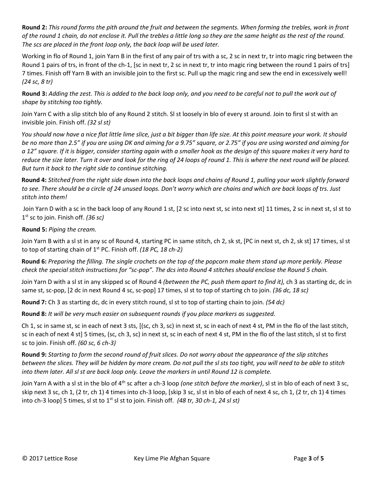**Round 2:** *This round forms the pith around the fruit and between the segments. When forming the trebles, work in front of the round 1 chain, do not enclose it. Pull the trebles a little long so they are the same height as the rest of the round. The scs are placed in the front loop only, the back loop will be used later.*

Working in flo of Round 1, join Yarn B in the first of any pair of trs with a sc, 2 sc in next tr, tr into magic ring between the Round 1 pairs of trs, in front of the ch-1, [sc in next tr, 2 sc in next tr, tr into magic ring between the round 1 pairs of trs] 7 times. Finish off Yarn B with an invisible join to the first sc. Pull up the magic ring and sew the end in excessively well! *(24 sc, 8 tr)*

**Round 3:** *Adding the zest. This is added to the back loop only, and you need to be careful not to pull the work out of shape by stitching too tightly.* 

Join Yarn C with a slip stitch blo of any Round 2 stitch. Sl st loosely in blo of every st around. Join to first sl st with an invisible join. Finish off. *(32 sl st)*

*You should now have a nice flat little lime slice, just a bit bigger than life size. At this point measure your work. It should be no more than 2.5" if you are using DK and aiming for a 9.75" square, or 2.75" if you are using worsted and aiming for a 12" square. If it is bigger, consider starting again with a smaller hook as the design of this square makes it very hard to*  reduce the size later. Turn it over and look for the ring of 24 loops of round 1. This is where the next round will be placed. *But turn it back to the right side to continue stitching.*

**Round 4:** *Stitched from the right side down into the back loops and chains of Round 1, pulling your work slightly forward to see. There should be a circle of 24 unused loops. Don't worry which are chains and which are back loops of trs. Just stitch into them!*

Join Yarn D with a sc in the back loop of any Round 1 st, [2 sc into next st, sc into next st] 11 times, 2 sc in next st, sl st to 1 st sc to join. Finish off. *(36 sc)*

**Round 5:** *Piping the cream.*

Join Yarn B with a sl st in any sc of Round 4, starting PC in same stitch, ch 2, sk st, [PC in next st, ch 2, sk st] 17 times, sl st to top of starting chain of 1<sup>st</sup> PC. Finish off. *(18 PC, 18 ch-2)* 

**Round 6:** *Preparing the filling. The single crochets on the top of the popcorn make them stand up more perkily. Please check the special stitch instructions for "sc-pop". The dcs into Round 4 stitches should enclose the Round 5 chain.*

Join Yarn D with a sl st in any skipped sc of Round 4 *(between the PC, push them apart to find it),* ch 3 as starting dc, dc in same st, sc-pop, [2 dc in next Round 4 sc, sc-pop] 17 times, sl st to top of starting ch to join. *(36 dc, 18 sc)*

**Round 7:** Ch 3 as starting dc, dc in every stitch round, sl st to top of starting chain to join. *(54 dc)*

**Round 8:** *It will be very much easier on subsequent rounds if you place markers as suggested.*

Ch 1, sc in same st, sc in each of next 3 sts, [(sc, ch 3, sc) in next st, sc in each of next 4 st, PM in the flo of the last stitch, sc in each of next 4 st] 5 times, (sc, ch 3, sc) in next st, sc in each of next 4 st, PM in the flo of the last stitch, sl st to first sc to join. Finish off. *(60 sc, 6 ch-3)*

**Round 9:** *Starting to form the second round of fruit slices. Do not worry about the appearance of the slip stitches between the slices. They will be hidden by more cream. Do not pull the sl sts too tight, you will need to be able to stitch into them later. All sl st are back loop only. Leave the markers in until Round 12 is complete.*

Join Yarn A with a sl st in the blo of 4<sup>th</sup> sc after a ch-3 loop *(one stitch before the marker)*, sl st in blo of each of next 3 sc, skip next 3 sc, ch 1, (2 tr, ch 1) 4 times into ch-3 loop, [skip 3 sc, sl st in blo of each of next 4 sc, ch 1, (2 tr, ch 1) 4 times into ch-3 loop] 5 times, sl st to 1<sup>st</sup> sl st to join. Finish off. *(48 tr, 30 ch-1, 24 sl st)*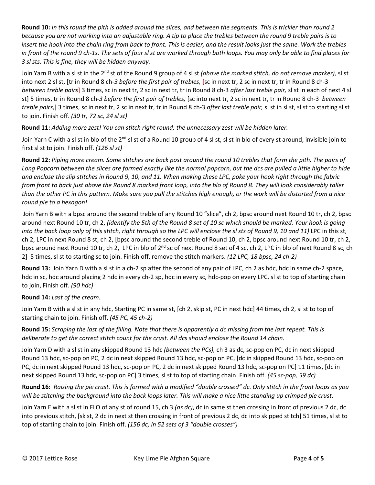**Round 10:** *In this round the pith is added around the slices, and between the segments. This is trickier than round 2 because you are not working into an adjustable ring. A tip to place the trebles between the round 9 treble pairs is to insert the hook into the chain ring from back to front. This is easier, and the result looks just the same. Work the trebles in front of the round 9 ch-1s. The sets of four sl st are worked through both loops. You may only be able to find places for 3 sl sts. This is fine, they will be hidden anyway.*

Join Yarn B with a sl st in the 2<sup>nd</sup> st of the Round 9 group of 4 sl st *(above the marked stitch, do not remove marker),* sl st into next 2 sl st, [tr in Round 8 ch-*3 before the first pair of trebles,* [sc in next tr, 2 sc in next tr, tr in Round 8 ch-3 *between treble pairs*] 3 times, sc in next tr, 2 sc in next tr, tr in Round 8 ch-3 *after last treble pair,* sl st in each of next 4 sl st] 5 times, tr in Round 8 ch-*3 before the first pair of trebles,* [sc into next tr, 2 sc in next tr, tr in Round 8 ch-3 *between treble pairs,*] 3 times, sc in next tr, 2 sc in next tr, tr in Round 8 ch-3 *after last treble pair,* sl st in sl st, sl st to starting sl st to join. Finish off. *(30 tr, 72 sc, 24 sl st)*

**Round 11:** *Adding more zest! You can stitch right round; the unnecessary zest will be hidden later.*

Join Yarn C with a sl st in blo of the 2<sup>nd</sup> sl st of a Round 10 group of 4 sl st, sl st in blo of every st around, invisible join to first sl st to join. Finish off. *(126 sl st)*

**Round 12:** *Piping more cream. Some stitches are back post around the round 10 trebles that form the pith. The pairs of Long Popcorn between the slices are formed exactly like the normal popcorn, but the dcs are pulled a little higher to hide and enclose the slip stitches in Round 9, 10, and 11. When making these LPC, poke your hook right through the fabric from front to back just above the Round 8 marked front loop, into the blo of Round 8. They will look considerably taller than the other PC in this pattern. Make sure you pull the stitches high enough, or the work will be distorted from a nice round pie to a hexagon!*

Join Yarn B with a bpsc around the second treble of any Round 10 "slice", ch 2, bpsc around next Round 10 tr, ch 2, bpsc around next Round 10 tr, ch 2, *(identify the 5th of the Round 8 set of 10 sc which should be marked. Your hook is going into the back loop only of this stitch, right through so the LPC will enclose the sl sts of Round 9, 10 and 11)* LPC in this st, ch 2, LPC in next Round 8 st, ch 2, [bpsc around the second treble of Round 10, ch 2, bpsc around next Round 10 tr, ch 2, bpsc around next Round 10 tr, ch 2, LPC in blo of 2<sup>nd</sup> sc of next Round 8 set of 4 sc, ch 2, LPC in blo of next Round 8 sc, ch 2] 5 times, sl st to starting sc to join. Finish off, remove the stitch markers. *(12 LPC, 18 bpsc, 24 ch-2)*

**Round 13:** Join Yarn D with a sl st in a ch-2 sp after the second of any pair of LPC, ch 2 as hdc, hdc in same ch-2 space, hdc in sc, hdc around placing 2 hdc in every ch-2 sp, hdc in every sc, hdc-pop on every LPC, sl st to top of starting chain to join, Finish off. *(90 hdc)*

### **Round 14:** *Last of the cream.*

Join Yarn B with a sl st in any hdc, Starting PC in same st, [ch 2, skip st, PC in next hdc] 44 times, ch 2, sl st to top of starting chain to join. Finish off. *(45 PC, 45 ch-2)*

**Round 15:** *Scraping the last of the filling. Note that there is apparently a dc missing from the last repeat. This is deliberate to get the correct stitch count for the crust. All dcs should enclose the Round 14 chain.*

Join Yarn D with a sl st in any skipped Round 13 hdc *(between the PCs),* ch 3 as dc, sc-pop on PC, dc in next skipped Round 13 hdc, sc-pop on PC, 2 dc in next skipped Round 13 hdc, sc-pop on PC, [dc in skipped Round 13 hdc, sc-pop on PC, dc in next skipped Round 13 hdc, sc-pop on PC, 2 dc in next skipped Round 13 hdc, sc-pop on PC] 11 times, [dc in next skipped Round 13 hdc, sc-pop on PC] 3 times, sl st to top of starting chain. Finish off. *(45 sc-pop, 59 dc)*

**Round 16:** *Raising the pie crust. This is formed with a modified "double crossed" dc. Only stitch in the front loops as you will be stitching the background into the back loops later. This will make a nice little standing up crimped pie crust.*

Join Yarn E with a sl st in FLO of any st of round 15, ch 3 *(as dc)*, dc in same st then crossing in front of previous 2 dc, dc into previous stitch, [sk st, 2 dc in next st then crossing in front of previous 2 dc, dc into skipped stitch] 51 times, sl st to top of starting chain to join. Finish off. *(156 dc, in 52 sets of 3 "double crosses")*